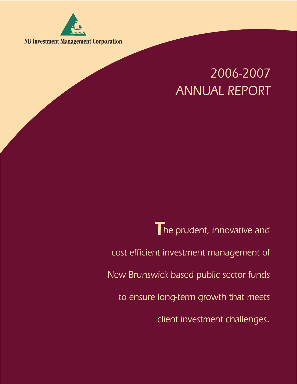

**NB Investment Management Corporation**

# *2006-2007 ANNUAL REPORT*

*The prudent, innovative and cost efficient investment management of New Brunswick based public sector funds to ensure long-term growth that meets client investment challenges.*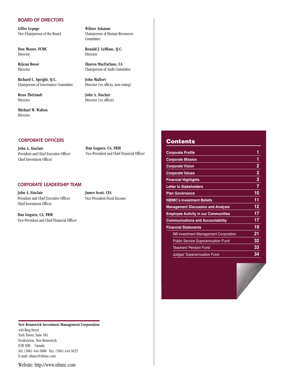#### *BOARD OF DIRECTORS*

**Gilles Lepage Wiktor Askanas**

Director Director

**Richard C. Speight, Q.C. John Mallory** Chairperson of Governance Committee Director (ex officio, non-voting)

**Reno Thériault John A. Sinclair** 

**Michael W. Walton** Director

Vice-Chairperson of the Board Chairperson of Human Resources **Committee** 

**Don Moors, FCMC** Ronald J. LeBlanc, Q.C.

**Réjean Bossé Sharon MacFarlane, CA** Director Chairperson of Audit Committee

Director Director (ex officio)

## *CORPORATE OFFICERS*

**John A. Sinclair** President and Chief Executive Officer Chief Investment Officer

**Dan Goguen, CA, FRM** Vice-President and Chief Financial Officer

#### *CORPORATE LEADERSHIP TEAM*

**John A. Sinclair James Scott, CFA** President and Chief Executive Officer Vice-President Fixed Income Chief Investment Officer

**Dan Goguen, CA, FRM** Vice-President and Chief Financial Officer

**New Brunswick Investment Management Corporation** 440 King Street York Tower, Suite 581 Fredericton, New Brunswick E3B 5H8 Canada Tel: (506) 444-5800 Fax: (506) 444-5025 E-mail: nbimc@nbimc.com

Website: http://www.nbimc.com

## **Contents**

| <b>Corporate Profile</b>                    | 1              |
|---------------------------------------------|----------------|
| <b>Corporate Mission</b>                    | 1              |
| <b>Corporate Vision</b>                     | $\overline{2}$ |
| <b>Corporate Values</b>                     | $\overline{2}$ |
| <b>Financial Highlights</b>                 | 3              |
| <b>Letter to Stakeholders</b>               | 7              |
| <b>Plan Governance</b>                      | 10             |
| <b>NBIMC's Investment Beliefs</b>           | 11             |
| <b>Management Discussion and Analysis</b>   | 12             |
| <b>Employee Activity in our Communities</b> | 17             |
| <b>Communications and Accountability</b>    | 17             |
| <b>Financial Statements</b>                 | 19             |
| <b>NB Investment Management Corporation</b> | 21             |
| <b>Public Service Superannuation Fund</b>   | 32             |
| <b>Teachers' Pension Fund</b>               | 33             |
| <b>Judges' Superannuation Fund</b>          | 34             |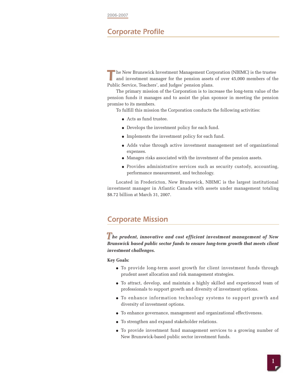**2006-2007**

# *Corporate Profile*

**The New Brunswick Investment Management Corp** and investment manager for the pension assets Public Service, Teachers', and Judges' pension plans. he New Brunswick Investment Management Corporation (NBIMC) is the trustee and investment manager for the pension assets of over 45,000 members of the

The primary mission of the Corporation is to increase the long-term value of the pension funds it manages and to assist the plan sponsor in meeting the pension promise to its members.

To fulfill this mission the Corporation conducts the following activities:

- Acts as fund trustee.
- Develops the investment policy for each fund.
- Implements the investment policy for each fund.
- Adds value through active investment management net of organizational expenses.
- Manages risks associated with the investment of the pension assets.
- Provides administrative services such as security custody, accounting, performance measurement, and technology.

Located in Fredericton, New Brunswick, NBIMC is the largest institutional investment manager in Atlantic Canada with assets under management totaling \$8.72 billion at March 31, 2007.

# *Corporate Mission*

*he prudent, innovative and cost efficient investment management of New T Brunswick based public sector funds to ensure long-term growth that meets client investment challenges.*

**Key Goals:**

- To provide long-term asset growth for client investment funds through prudent asset allocation and risk management strategies.
- To attract, develop, and maintain a highly skilled and experienced team of professionals to support growth and diversity of investment options.
- To enhance information technology systems to support growth and diversity of investment options.
- To enhance governance, management and organizational effectiveness.
- To strengthen and expand stakeholder relations.
- To provide investment fund management services to a growing number of New Brunswick-based public sector investment funds.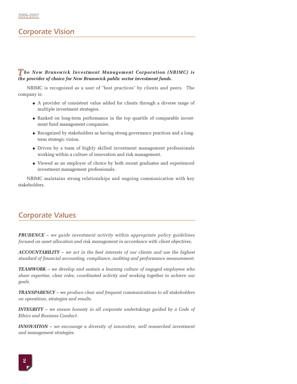# *Corporate Vision*

## *he New Brunswick Investment Management Corporation (NBIMC) is the provider of choice for New Brunswick public sector investment funds.*

NBIMC is recognized as a user of "best practices" by clients and peers. The company is:

- A provider of consistent value added for clients through a diverse range of multiple investment strategies.
- Ranked on long-term performance in the top quartile of comparable investment fund management companies.
- Recognized by stakeholders as having strong governance practices and a longterm strategic vision.
- Driven by a team of highly skilled investment management professionals working within a culture of innovation and risk management.
- Viewed as an employer of choice by both recent graduates and experienced investment management professionals.

NBIMC maintains strong relationships and ongoing communication with key stakeholders.

# *Corporate Values*

*PRUDENCE* – *we guide investment activity within appropriate policy guidelines focused on asset allocation and risk management in accordance with client objectives.*

*ACCOUNTABILITY* – *we act in the best interests of our clients and use the highest standard of financial accounting, compliance, auditing and performance measurement.*

*TEAMWORK* – *we develop and sustain a learning culture of engaged employees who share expertise, clear roles, coordinated activity and working together to achieve our goals.*

*TRANSPARENCY* – *we produce clear and frequent communications to all stakeholders on operations, strategies and results.*

*INTEGRITY* – *we ensure honesty in all corporate undertakings guided by a Code of Ethics and Business Conduct.*

*INNOVATION* – *we encourage a diversity of innovative, well researched investment and management strategies.*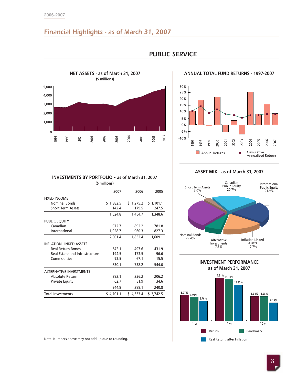#### **2006-2007**

# *Financial Highlights - as of March 31, 2007*



# *PUBLIC SERVICE*

#### **ANNUAL TOTAL FUND RETURNS - 1997-2007**



### **ASSET MIX - as of March 31, 2007**





| 0                              |                          |                                                 |      |               |           |      |           |           |       |
|--------------------------------|--------------------------|-------------------------------------------------|------|---------------|-----------|------|-----------|-----------|-------|
| 1998                           | 1999                     | 200                                             | 2001 | 2002          | 2003      | 2004 | 2005      | 2006      | 2007  |
|                                |                          |                                                 |      |               |           |      |           |           |       |
|                                |                          |                                                 |      |               |           |      |           |           |       |
|                                |                          |                                                 |      |               |           |      |           |           |       |
|                                |                          |                                                 |      |               |           |      |           |           |       |
|                                |                          | INVESTMENTS BY PORTFOLIO - as of March 31, 2007 |      |               |           |      |           |           |       |
|                                |                          |                                                 |      | (\$ millions) |           |      |           |           |       |
|                                |                          |                                                 |      |               | 2007      |      | 2006      |           | 2005  |
| <b>FIXED INCOME</b>            |                          |                                                 |      |               |           |      |           |           |       |
|                                | <b>Nominal Bonds</b>     |                                                 |      |               | \$1,382.5 |      | \$1,275.2 | \$1,101.1 |       |
|                                | <b>Short Term Assets</b> |                                                 |      |               | 142.4     |      | 179.5     |           | 247.5 |
|                                |                          |                                                 |      |               | 1,524.8   |      | 1,454.7   | 1,348.6   |       |
| <b>PUBLIC EQUITY</b>           |                          |                                                 |      |               |           |      |           |           |       |
| Canadian                       |                          |                                                 |      |               | 972.7     |      | 892.2     |           | 781.8 |
|                                | International            |                                                 |      |               | 1,028.7   |      | 960.3     |           | 827.3 |
|                                |                          |                                                 |      |               | 2,001.4   |      | 1,852.4   | 1,609.1   |       |
| <b>INFLATION LINKED ASSETS</b> |                          |                                                 |      |               |           |      |           |           |       |
|                                | <b>Real Return Bonds</b> |                                                 |      |               | 542.1     |      | 497.6     |           | 431.9 |
|                                |                          | Real Estate and Infrastructure                  |      |               | 194.5     |      | 173.5     |           | 96.6  |
|                                | Commodities              |                                                 |      |               | 93.5      |      | 67.1      |           | 15.5  |
|                                |                          |                                                 |      |               | 830.1     |      | 738.2     |           | 544.0 |
| <b>ALTERNATIVE INVESTMENTS</b> |                          |                                                 |      |               |           |      |           |           |       |
|                                | Absolute Return          |                                                 |      |               | 282.1     |      | 236.2     |           | 206.2 |
|                                | <b>Private Equity</b>    |                                                 |      |               | 62.7      |      | 51.9      |           | 34.6  |
|                                |                          |                                                 |      |               | 344.8     |      | 288.1     |           | 240.8 |
| <b>Total Investments</b>       |                          |                                                 |      |               | \$4,701.1 |      | \$4,333.4 | \$3,742.5 |       |

Note: Numbers above may not add up due to rounding.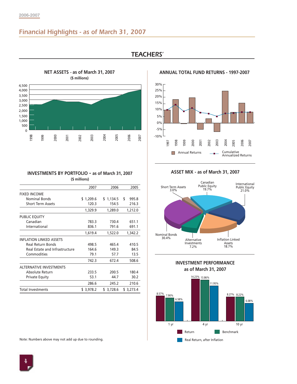# *Financial Highlights - as of March 31, 2007*



# *TEACHERS'*

**ANNUAL TOTAL FUND RETURNS - 1997-2007**



#### **INVESTMENTS BY PORTFOLIO - as of March 31, 2007 (\$ millions)**

| $\frac{8}{2}$<br>ğ             | 200<br>200                                             | 2002          | 2003      | 200       | $\tilde{8}$ | 200 <sup>-</sup> |
|--------------------------------|--------------------------------------------------------|---------------|-----------|-----------|-------------|------------------|
|                                |                                                        |               |           |           |             |                  |
|                                | <b>INVESTMENTS BY PORTFOLIO - as of March 31, 2007</b> |               |           |           |             |                  |
|                                |                                                        | (\$ millions) |           |           |             |                  |
|                                |                                                        |               | 2007      | 2006      | 2005        |                  |
| <b>FIXED INCOME</b>            |                                                        |               |           |           |             |                  |
| <b>Nominal Bonds</b>           |                                                        |               | \$1,209.6 | \$1,134.5 | \$<br>995.8 |                  |
| <b>Short Term Assets</b>       |                                                        |               | 120.3     | 154.5     | 216.3       |                  |
|                                |                                                        |               | 1,329.9   | 1,289.0   | 1,212.0     |                  |
| PUBLIC EQUITY                  |                                                        |               |           |           |             |                  |
| Canadian                       |                                                        |               | 783.3     | 730.4     | 651.1       |                  |
| International                  |                                                        |               | 836.1     | 791.6     | 691.1       |                  |
|                                |                                                        |               | 1,619.4   | 1,522.0   | 1,342.2     |                  |
| <b>INFLATION LINKED ASSETS</b> |                                                        |               |           |           |             |                  |
| <b>Real Return Bonds</b>       |                                                        |               | 498.5     | 465.4     | 410.5       |                  |
|                                | <b>Real Estate and Infrastructure</b>                  |               | 164.6     | 149.3     |             | 84.5             |
| Commodities                    |                                                        |               | 79.1      | 57.7      |             | 13.5             |
|                                |                                                        |               | 742.3     | 672.4     | 508.6       |                  |
| <b>ALTERNATIVE INVESTMENTS</b> |                                                        |               |           |           |             |                  |
| Absolute Return                |                                                        |               | 233.5     | 200.5     | 180.4       |                  |
| <b>Private Equity</b>          |                                                        |               | 53.1      | 44.7      |             | 30.2             |
|                                |                                                        |               | 286.6     | 245.2     | 210.6       |                  |
| <b>Total Investments</b>       |                                                        |               | \$3,978.2 | \$3,728.6 | \$3,273.4   |                  |
|                                |                                                        |               |           |           |             |                  |
|                                | Note: Numbers above may not add up due to rounding.    |               |           |           |             |                  |

#### **ASSET MIX - as of March 31, 2007**



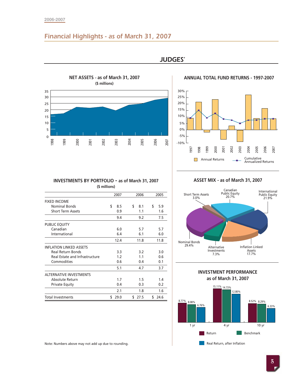# *Financial Highlights - as of March 31, 2007*



*JUDGES'*



## **INVESTMENTS BY PORTFOLIO - as of March 31, 2007 (\$ millions)**

| 1998                           | 1999                                     | 2000 | 2001                                                | 2002          | 2003       | 2004 | 2005       | 2006 |            | 2007 | $-10%$ |                          |                                  |                       |                     |               |                               |      |                                   |                                         |                     |                |
|--------------------------------|------------------------------------------|------|-----------------------------------------------------|---------------|------------|------|------------|------|------------|------|--------|--------------------------|----------------------------------|-----------------------|---------------------|---------------|-------------------------------|------|-----------------------------------|-----------------------------------------|---------------------|----------------|
|                                |                                          |      |                                                     |               |            |      |            |      |            |      |        | 1997                     | 998                              | 1999                  | 2000                | 2001          | 2002                          | 2003 | 2004                              | 2005                                    | 2006                | 2000           |
|                                |                                          |      |                                                     |               |            |      |            |      |            |      |        |                          |                                  |                       |                     |               |                               |      |                                   |                                         |                     |                |
|                                |                                          |      |                                                     |               |            |      |            |      |            |      |        |                          |                                  | <b>Annual Returns</b> |                     |               |                               |      |                                   | Cumulative<br><b>Annualized Returns</b> |                     |                |
|                                |                                          |      |                                                     |               |            |      |            |      |            |      |        |                          |                                  |                       |                     |               |                               |      |                                   |                                         |                     |                |
|                                |                                          |      |                                                     |               |            |      |            |      |            |      |        |                          |                                  |                       |                     |               |                               |      |                                   |                                         |                     |                |
|                                |                                          |      | INVESTMENTS BY PORTFOLIO - as of March 31, 2007     |               |            |      |            |      |            |      |        |                          | ASSET MIX - as of March 31, 2007 |                       |                     |               |                               |      |                                   |                                         |                     |                |
|                                |                                          |      |                                                     | (\$ millions) |            |      |            |      |            |      |        |                          |                                  |                       |                     |               |                               |      |                                   |                                         |                     |                |
|                                |                                          |      |                                                     |               |            |      |            |      |            |      |        |                          |                                  |                       |                     |               | Canadian                      |      |                                   |                                         | Internation         |                |
|                                |                                          |      |                                                     |               | 2007       |      | 2006       |      | 2005       |      |        | <b>Short Term Assets</b> | 3.0%                             |                       |                     |               | <b>Public Equity</b><br>20.7% |      |                                   |                                         | Public Equ<br>21.9% |                |
| <b>FIXED INCOME</b>            |                                          |      |                                                     |               |            |      |            |      |            |      |        |                          |                                  |                       |                     |               |                               |      |                                   |                                         |                     |                |
|                                | <b>Nominal Bonds</b>                     |      |                                                     | \$            | 8.5        | \$   | 8.1        | \$   | 5.9        |      |        |                          |                                  |                       |                     |               |                               |      |                                   |                                         |                     |                |
|                                | <b>Short Term Assets</b>                 |      |                                                     |               | 0.9        |      | 1.1        |      | 1.6        |      |        |                          |                                  |                       |                     |               |                               |      |                                   |                                         |                     |                |
|                                |                                          |      |                                                     |               | 9.4        |      | 9.2        |      | 7.5        |      |        |                          |                                  |                       |                     |               |                               |      |                                   |                                         |                     |                |
| PUBLIC EQUITY                  |                                          |      |                                                     |               |            |      |            |      |            |      |        |                          |                                  |                       |                     |               |                               |      |                                   |                                         |                     |                |
|                                | Canadian                                 |      |                                                     |               | 6.0        |      | 5.7        |      | 5.7        |      |        |                          |                                  |                       |                     |               |                               |      |                                   |                                         |                     |                |
|                                | International                            |      |                                                     |               | 6.4        |      | 6.1        |      | 6.0        |      |        |                          |                                  |                       |                     |               |                               |      |                                   |                                         |                     |                |
|                                |                                          |      |                                                     |               | 12.4       |      | 11.8       |      | 11.8       |      |        | <b>Nominal Bonds</b>     |                                  |                       |                     |               |                               |      |                                   |                                         |                     |                |
| <b>INFLATION LINKED ASSETS</b> |                                          |      |                                                     |               |            |      |            |      |            |      |        | 29.4%                    |                                  |                       | Alternative         |               |                               |      | <b>Inflation Linked</b><br>Assets |                                         |                     |                |
|                                | Real Return Bonds                        |      |                                                     |               | 3.3        |      | 3.2        |      | 3.0        |      |        |                          |                                  |                       | Investments<br>7.3% |               |                               |      | 17.7%                             |                                         |                     |                |
|                                | Commodities                              |      | Real Estate and Infrastructure                      |               | 1.2<br>0.6 |      | 1.1<br>0.4 |      | 0.6<br>0.1 |      |        |                          |                                  |                       |                     |               |                               |      |                                   |                                         |                     |                |
|                                |                                          |      |                                                     |               |            |      |            |      |            |      |        |                          |                                  |                       |                     |               |                               |      |                                   |                                         |                     |                |
|                                |                                          |      |                                                     |               | 5.1        |      | 4.7        |      | 3.7        |      |        |                          |                                  |                       |                     |               |                               |      | <b>INVESTMENT PERFORMANCE</b>     |                                         |                     |                |
| <b>ALTERNATIVE INVESTMENTS</b> |                                          |      |                                                     |               |            |      |            |      |            |      |        |                          |                                  |                       |                     |               | as of March 31, 2007          |      |                                   |                                         |                     |                |
|                                | Absolute Return<br><b>Private Equity</b> |      |                                                     |               | 1.7<br>0.4 |      | 1.5<br>0.3 |      | 1.4<br>0.2 |      |        |                          |                                  |                       |                     |               |                               |      |                                   |                                         |                     |                |
|                                |                                          |      |                                                     |               | 2.1        |      | 1.8        |      | 1.6        |      |        |                          |                                  |                       |                     | 15.11% 14.73% |                               |      |                                   |                                         |                     |                |
|                                |                                          |      |                                                     |               |            |      |            |      |            |      |        |                          |                                  |                       |                     |               | 12.80%                        |      |                                   |                                         |                     |                |
| <b>Total Investments</b>       |                                          |      |                                                     |               | \$29.0     |      | \$27.5     |      | \$24.6     |      |        | $8.77\%$ 8.08%           |                                  |                       |                     |               |                               |      |                                   | 8.52% 8.29%                             |                     |                |
|                                |                                          |      |                                                     |               |            |      |            |      |            |      |        |                          | 6.76%                            |                       |                     |               |                               |      |                                   |                                         |                     | 6.33%          |
|                                |                                          |      |                                                     |               |            |      |            |      |            |      |        |                          |                                  |                       |                     |               |                               |      |                                   |                                         |                     |                |
|                                |                                          |      |                                                     |               |            |      |            |      |            |      |        |                          |                                  |                       |                     |               |                               |      |                                   |                                         |                     |                |
|                                |                                          |      |                                                     |               |            |      |            |      |            |      |        |                          |                                  |                       |                     | 4 yr          |                               |      |                                   | 10 yr                                   |                     |                |
|                                |                                          |      |                                                     |               |            |      |            |      |            |      |        | 1 yr                     |                                  |                       |                     |               |                               |      |                                   |                                         |                     |                |
|                                |                                          |      |                                                     |               |            |      |            |      |            |      |        |                          |                                  | Return                |                     |               |                               |      | Benchmark                         |                                         |                     |                |
|                                |                                          |      | Note: Numbers above may not add up due to rounding. |               |            |      |            |      |            |      |        |                          |                                  |                       |                     |               | Real Return, after Inflation  |      |                                   |                                         |                     |                |
|                                |                                          |      |                                                     |               |            |      |            |      |            |      |        |                          |                                  |                       |                     |               |                               |      |                                   |                                         |                     |                |
|                                |                                          |      |                                                     |               |            |      |            |      |            |      |        |                          |                                  |                       |                     |               |                               |      |                                   |                                         |                     |                |
|                                |                                          |      |                                                     |               |            |      |            |      |            |      |        |                          |                                  |                       |                     |               |                               |      |                                   |                                         |                     | $\overline{5}$ |

**ASSET MIX - as of March 31, 2007**





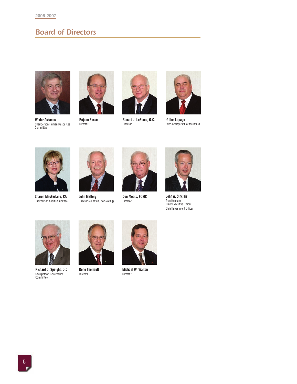# *Board of Directors*



**Wiktor Askanas**



**Réjean Bossé** Director Chairperson Human Resources Committee



**Ronald J. LeBlanc, Q.C.** Director



**Gilles Lepage** Vice-Chairperson of the Board



**Sharon MacFarlane, CA** Chairperson Audit Committee



**John Mallory** Director (ex officio, non-voting)



**Don Moors, FCMC** Director



**John A. Sinclair** President and Chief Executive Officer Chief Investment Officer



**Richard C. Speight, Q.C.** Chairperson Governance Committee



**Reno Thériault** Director



**Michael W. Walton** Director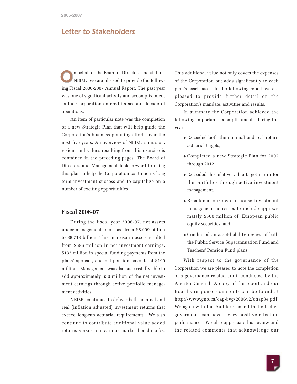# *Letter to Stakeholders*

n behalf of the Board of Directors and staff of NBIMC we are pleased to provide the following Fiscal 2006-2007 Annual Report. The past year was one of significant activity and accomplishment as the Corporation entered its second decade of operations. *O*

An item of particular note was the completion of a new Strategic Plan that will help guide the Corporation's business planning efforts over the next five years. An overview of NBIMC's mission, vision, and values resulting from this exercise is contained in the preceding pages. The Board of Directors and Management look forward to using this plan to help the Corporation continue its long term investment success and to capitalize on a number of exciting opportunities.

## **Fiscal 2006-07**

During the fiscal year 2006-07, net assets under management increased from \$8.099 billion to \$8.718 billion. This increase in assets resulted from \$686 million in net investment earnings, \$132 million in special funding payments from the plans' sponsor, and net pension payouts of \$199 million. Management was also successfully able to add approximately \$50 million of the net investment earnings through active portfolio management activities.

NBIMC continues to deliver both nominal and real (inflation adjusted) investment returns that exceed long-run actuarial requirements. We also continue to contribute additional value added returns versus our various market benchmarks. This additional value not only covers the expenses of the Corporation but adds significantly to each plan's asset base. In the following report we are pleased to provide further detail on the Corporation's mandate, activities and results.

In summary the Corporation achieved the following important accomplishments during the year:

- Exceeded both the nominal and real return actuarial targets,
- Completed a new Strategic Plan for 2007 through 2012,
- Exceeded the relative value target return for the portfolios through active investment management,
- Broadened our own in-house investment management activities to include approximately \$500 million of European public equity securities, and
- Conducted an asset-liability review of both the Public Service Superannuation Fund and Teachers' Pension Fund plans.

With respect to the governance of the Corporation we are pleased to note the completion of a governance related audit conducted by the Auditor General. A copy of the report and our Board's response comments can be found at http://www.gnb.ca/oag-bvg/2006v2/chap3e.pdf. We agree with the Auditor General that effective governance can have a very positive effect on performance. We also appreciate his review and the related comments that acknowledge our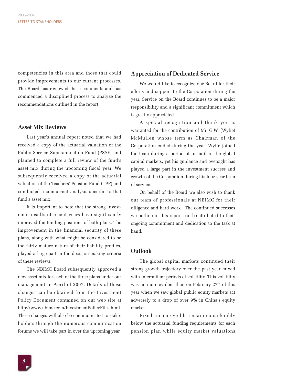competencies in this area and those that could provide improvements to our current processes. The Board has reviewed these comments and has commenced a disciplined process to analyze the recommendations outlined in the report.

## **Asset Mix Reviews**

Last year's annual report noted that we had received a copy of the actuarial valuation of the Public Service Superannuation Fund (PSSF) and planned to complete a full review of the fund's asset mix during the upcoming fiscal year. We subsequently received a copy of the actuarial valuation of the Teachers' Pension Fund (TPF) and conducted a concurrent analysis specific to that fund's asset mix.

It is important to note that the strong investment results of recent years have significantly improved the funding positions of both plans. The improvement in the financial security of these plans, along with what might be considered to be the fairly mature nature of their liability profiles, played a large part in the decision-making criteria of these reviews.

The NBIMC Board subsequently approved a new asset mix for each of the three plans under our management in April of 2007. Details of these changes can be obtained from the Investment Policy Document contained on our web site at http://www.nbimc.com/InvestmentPolicyFiles.html. These changes will also be communicated to stakeholders through the numerous communication forums we will take part in over the upcoming year.

## **Appreciation of Dedicated Service**

We would like to recognize our Board for their efforts and support to the Corporation during the year. Service on the Board continues to be a major responsibility and a significant commitment which is greatly appreciated.

A special recognition and thank you is warranted for the contribution of Mr. G.W. (Wylie) McMullen whose term as Chairman of the Corporation ended during the year. Wylie joined the team during a period of turmoil in the global capital markets, yet his guidance and oversight has played a large part in the investment success and growth of the Corporation during his four year term of service.

On behalf of the Board we also wish to thank our team of professionals at NBIMC for their diligence and hard work. The continued successes we outline in this report can be attributed to their ongoing commitment and dedication to the task at hand.

## **Outlook**

The global capital markets continued their strong growth trajectory over the past year mixed with intermittent periods of volatility. This volatility was no more evident than on February 27th of this year when we saw global public equity markets act adversely to a drop of over 9% in China's equity market.

Fixed income yields remain considerably below the actuarial funding requirements for each pension plan while equity market valuations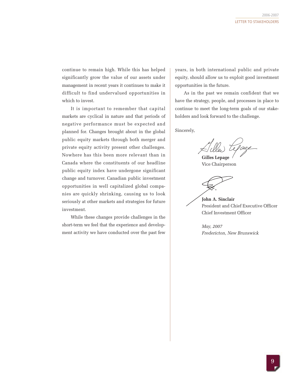continue to remain high. While this has helped significantly grow the value of our assets under management in recent years it continues to make it difficult to find undervalued opportunities in which to invest.

It is important to remember that capital markets are cyclical in nature and that periods of negative performance must be expected and planned for. Changes brought about in the global public equity markets through both merger and private equity activity present other challenges. Nowhere has this been more relevant than in Canada where the constituents of our headline public equity index have undergone significant change and turnover. Canadian public investment opportunities in well capitalized global companies are quickly shrinking, causing us to look seriously at other markets and strategies for future investment.

While these changes provide challenges in the short-term we feel that the experience and development activity we have conducted over the past few

years, in both international public and private equity, should allow us to exploit good investment opportunities in the future.

As in the past we remain confident that we have the strategy, people, and processes in place to continue to meet the long-term goals of our stakeholders and look forward to the challenge.

Sincerely,

**Gilles Lepage**

Vice Chairperson

**John A. Sinclair** President and Chief Executive Officer Chief Investment Officer

*May, 2007 Fredericton, New Brunswick*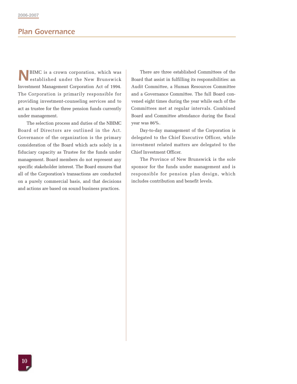# *Plan Governance*

BIMC is a crown corporation, which was established under the New Brunswick Investment Management Corporation Act of 1994. The Corporation is primarily responsible for providing investment-counseling services and to act as trustee for the three pension funds currently under management. *N*

The selection process and duties of the NBIMC Board of Directors are outlined in the Act. Governance of the organization is the primary consideration of the Board which acts solely in a fiduciary capacity as Trustee for the funds under management. Board members do not represent any specific stakeholder interest. The Board ensures that all of the Corporation's transactions are conducted on a purely commercial basis, and that decisions and actions are based on sound business practices.

There are three established Committees of the Board that assist in fulfilling its responsibilities: an Audit Committee, a Human Resources Committee and a Governance Committee. The full Board convened eight times during the year while each of the Committees met at regular intervals. Combined Board and Committee attendance during the fiscal year was 86%.

Day-to-day management of the Corporation is delegated to the Chief Executive Officer, while investment related matters are delegated to the Chief Investment Officer.

The Province of New Brunswick is the sole sponsor for the funds under management and is responsible for pension plan design, which includes contribution and benefit levels.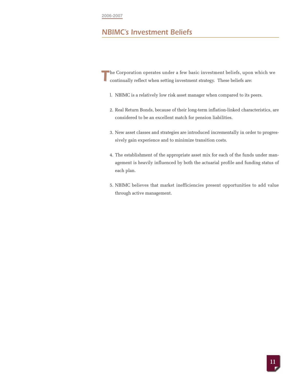# *NBIMC's Investment Beliefs*

he Corporation operates under a few basic investment beliefs, upon which we continually reflect when setting investment strategy. These beliefs are: *T*

- l. NBIMC is a relatively low risk asset manager when compared to its peers.
- 2. Real Return Bonds, because of their long-term inflation-linked characteristics, are considered to be an excellent match for pension liabilities.
- 3. New asset classes and strategies are introduced incrementally in order to progressively gain experience and to minimize transition costs.
- 4. The establishment of the appropriate asset mix for each of the funds under management is heavily influenced by both the actuarial profile and funding status of each plan.
- 5. NBIMC believes that market inefficiencies present opportunities to add value through active management.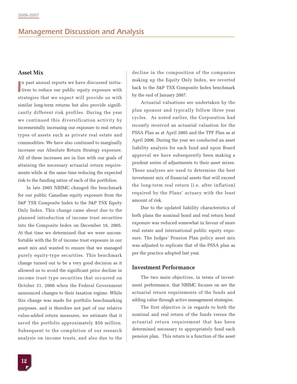## **Asset Mix**

n past annual reports we have discussed initia-If it vest annual reports we have discussed initiatives to reduce our public equity exposure with strategies that we expect will provide us with similar long-term returns but also provide significantly different risk profiles. During the year we continued this diversification activity by incrementally increasing our exposure to real return types of assets such as private real estate and commodities. We have also continued to marginally increase our Absolute Return Strategy exposure. All of these increases are in line with our goals of attaining the necessary actuarial return requirements while at the same time reducing the expected risk to the funding ratios of each of the portfolios.

In late 2005 NBIMC changed the benchmark for our public Canadian equity exposure from the S&P TSX Composite Index to the S&P TSX Equity Only Index. This change came about due to the planned introduction of income trust securities into the Composite Index on December 16, 2005. At that time we determined that we were uncomfortable with the fit of income trust exposure in our asset mix and wanted to ensure that we managed purely equity-type securities. This benchmark change turned out to be a very good decision as it allowed us to avoid the significant price decline in income trust type securities that occurred on October 31, 2006 when the Federal Government announced changes to their taxation regime. While this change was made for portfolio benchmarking purposes, and is therefore not part of our relative value-added return measures, we estimate that it saved the portfolio approximately \$50 million. Subsequent to the completion of our research analysis on income trusts, and also due to the decline in the composition of the companies making up the Equity Only Index, we reverted back to the S&P TSX Composite Index benchmark by the end of January 2007.

Actuarial valuations are undertaken by the plan sponsor and typically follow three year cycles. As noted earlier, the Corporation had recently received an actuarial valuation for the PSSA Plan as at April 2005 and the TPF Plan as at April 2006. During the year we conducted an asset liability analysis for each fund and upon Board approval we have subsequently been making a prudent series of adjustments to their asset mixes. These analyses are used to determine the best investment mix of financial assets that will exceed the long-term real return (i.e. after inflation) required by the Plans' actuary with the least amount of risk.

Due to the updated liability characteristics of both plans the nominal bond and real return bond exposure was reduced somewhat in favour of more real estate and international public equity exposure. The Judges' Pension Plan policy asset mix was adjusted to replicate that of the PSSA plan as per the practice adopted last year.

### **Investment Performance**

The two main objectives, in terms of investment performance, that NBIMC focuses on are the actuarial return requirements of the funds and adding value through active management strategies.

The first objective is in regards to both the nominal and real return of the funds versus the actuarial return requirement that has been determined necessary to appropriately fund each pension plan. This return is a function of the asset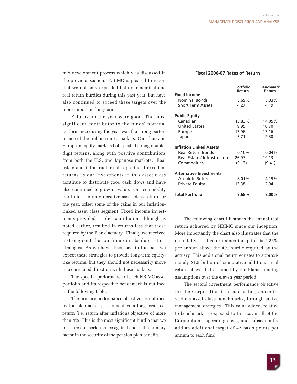mix development process which was discussed in the previous section. NBIMC is pleased to report that we not only exceeded both our nominal and real return hurdles during this past year, but have also continued to exceed these targets over the more important long-term.

Returns for the year were good. The most significant contributor to the funds' nominal performance during the year was the strong performance of the public equity markets. Canadian and European equity markets both posted strong doubledigit returns, along with positive contributions from both the U.S. and Japanese markets. Real estate and infrastructure also produced excellent returns as our investments in this asset class continue to distribute good cash flows and have also continued to grow in value. Our commodity portfolio, the only negative asset class return for the year, offset some of the gains in our inflationlinked asset class segment. Fixed income investments provided a solid contribution although as noted earlier, resulted in returns less that those required by the Plans' actuary. Finally we received a strong contribution from our absolute return strategies. As we have discussed in the past we expect these strategies to provide long-term equitylike returns, but they should not necessarily move in a correlated direction with these markets.

The specific performance of each NBIMC asset portfolio and its respective benchmark is outlined in the following table.

The primary performance objective, as outlined by the plan actuary, is to achieve a long term real return (i.e. return after inflation) objective of more than 4%. This is the most significant hurdle that we measure our performance against and is the primary factor in the security of the pension plan benefits.

### **Fiscal 2006-07 Rates of Return**

|                                | Portfolio<br>Return | <b>Benchmark</b><br>Return |
|--------------------------------|---------------------|----------------------------|
| <b>Fixed Income</b>            |                     |                            |
| <b>Nominal Bonds</b>           | 5.69%               | 5.33%                      |
| <b>Short Term Assets</b>       | 4.27                | 4.19                       |
| <b>Public Equity</b>           |                     |                            |
| Canadian                       | 13.83%              | 14.05%                     |
| <b>United States</b>           | 9.95                | 10.70                      |
| Europe                         | 13.96               | 13.16                      |
| Japan                          | 5.71                | 2.30                       |
| <b>Inflation Linked Assets</b> |                     |                            |
| <b>Real Return Bonds</b>       | 0.10%               | 0.04%                      |
| Real Estate / Infrastructure   | 26.97               | 19.13                      |
| Commodities                    | (9.13)              | (9.41)                     |
| <b>Alternative Investments</b> |                     |                            |
| Absolute Return                | 8.01%               | 4.19%                      |
| <b>Private Equity</b>          | 13.38               | 12.94                      |
| <b>Total Portfolio</b>         | 8.68%               | $8.00\%$                   |

The following chart illustrates the annual real return achieved by NBIMC since our inception. More importantly the chart also illustrates that the cumulative real return since inception is 2.33% per annum above the 4% hurdle required by the actuary. This additional return equates to approximately \$1.5 billion of cumulative additional real return above that assumed by the Plans' funding assumptions over the eleven year period.

The second investment performance objective for the Corporation is to add value, above its various asset class benchmarks, through active management strategies. This value added, relative to benchmark, is expected to first cover all of the Corporation's operating costs, and subsequently add an additional target of 42 basis points per annum to each fund.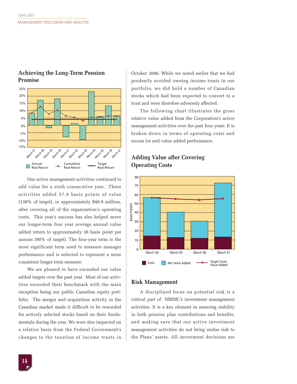

## **Achieving the Long-Term Pension Promise**

Our active management activities continued to  $\sim$ <sup>80</sup> add value for a sixth consecutive year. These activities added 57.9 basis points of value (138% of target), or approximately \$48.9 million, after covering all of the organization's operating costs. This year's success has also helped move our longer-term four year average annual value added return to approximately 38 basis point per annum (90% of target). The four-year term is the most significant term used to measure manager performance and is selected to represent a more consistent longer term measure.

We are pleased to have exceeded our value added targets over the past year. Most of our activities exceeded their benchmark with the main exception being our public Canadian equity portfolio. The merger and acquisition activity in the Canadian market made it difficult to be rewarded for actively selected stocks based on their fundamentals during the year. We were also impacted on a relative basis from the Federal Government's changes to the taxation of income trusts in

October 2006. While we noted earlier that we had prudently avoided owning income trusts in our portfolio, we did hold a number of Canadian stocks which had been expected to convert to a trust and were therefore adversely affected.

The following chart illustrates the gross relative value added from the Corporation's active management activities over the past four years. It is broken down in terms of operating costs and excess (or net) value added performance.

## **Adding Value after Covering Operating Costs**



## **Risk Management**

A disciplined focus on potential risk is a critical part of NBIMC's investment management activities. It is a key element in ensuring stability in both pension plan contributions and benefits, and making sure that our active investment management activities do not bring undue risk to the Plans' assets. All investment decisions are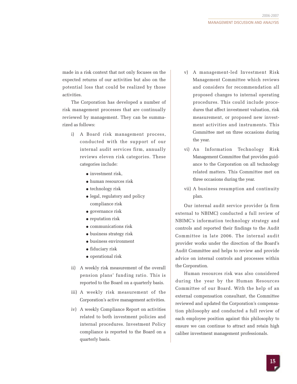made in a risk context that not only focuses on the expected returns of our activities but also on the potential loss that could be realized by those activities.

The Corporation has developed a number of risk management processes that are continually reviewed by management. They can be summarized as follows:

- i) A Board risk management process, conducted with the support of our internal audit services firm, annually reviews eleven risk categories. These categories include:
	- investment risk,
	- human resources risk
	- technology risk
	- legal, regulatory and policy compliance risk
	- governance risk
	- reputation risk
	- communications risk
	- business strategy risk
	- business environment
	- fiduciary risk
	- operational risk
- ii) A weekly risk measurement of the overall pension plans' funding ratio. This is reported to the Board on a quarterly basis.
- iii) A weekly risk measurement of the Corporation's active management activities.
- iv) A weekly Compliance Report on activities related to both investment policies and internal procedures. Investment Policy compliance is reported to the Board on a quarterly basis.
- v) A management-led Investment Risk Management Committee which reviews and considers for recommendation all proposed changes to internal operating procedures. This could include procedures that affect investment valuation, risk measurement, or proposed new investment activities and instruments. This Committee met on three occasions during the year.
- vi) An Information Technology Risk Management Committee that provides guidance to the Corporation on all technology related matters. This Committee met on three occasions during the year.
- vii) A business resumption and continuity plan.

Our internal audit service provider (a firm external to NBIMC) conducted a full review of NBIMC's information technology strategy and controls and reported their findings to the Audit Committee in late 2006. The internal audit provider works under the direction of the Board's Audit Committee and helps to review and provide advice on internal controls and processes within the Corporation.

Human resources risk was also considered during the year by the Human Resources Committee of our Board. With the help of an external compensation consultant, the Committee reviewed and updated the Corporation's compensation philosophy and conducted a full review of each employee position against this philosophy to ensure we can continue to attract and retain high caliber investment management professionals.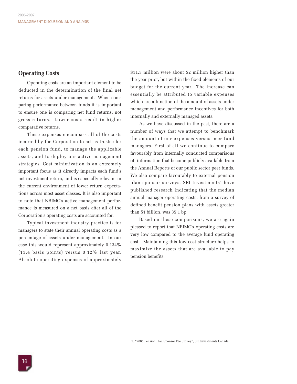## **Operating Costs**

Operating costs are an important element to be deducted in the determination of the final net returns for assets under management. When comparing performance between funds it is important to ensure one is comparing net fund returns, not gross returns. Lower costs result in higher comparative returns.

These expenses encompass all of the costs incurred by the Corporation to act as trustee for each pension fund, to manage the applicable assets, and to deploy our active management strategies. Cost minimization is an extremely important focus as it directly impacts each fund's net investment return, and is especially relevant in the current environment of lower return expectations across most asset classes. It is also important to note that NBIMC's active management performance is measured on a net basis after all of the Corporation's operating costs are accounted for.

Typical investment industry practice is for managers to state their annual operating costs as a percentage of assets under management. In our case this would represent approximately 0.134% (13.4 basis points) versus 0.12% last year. Absolute operating expenses of approximately

\$11.3 million were about \$2 million higher than the year prior, but within the fixed elements of our budget for the current year. The increase can essentially be attributed to variable expenses which are a function of the amount of assets under management and performance incentives for both internally and externally managed assets.

As we have discussed in the past, there are a number of ways that we attempt to benchmark the amount of our expenses versus peer fund managers. First of all we continue to compare favourably from internally conducted comparisons of information that become publicly available from the Annual Reports of our public sector peer funds. We also compare favourably to external pension plan sponsor surveys. SEI Investments<sup>1</sup> have published research indicating that the median annual manager operating costs, from a survey of defined benefit pension plans with assets greater than \$1 billion, was 35.1 bp.

Based on these comparisons, we are again pleased to report that NBIMC's operating costs are very low compared to the average fund operating cost. Maintaining this low cost structure helps to maximize the assets that are available to pay pension benefits.

1. "2005 Pension Plan Sponsor Fee Survey", SEI Investments Canada